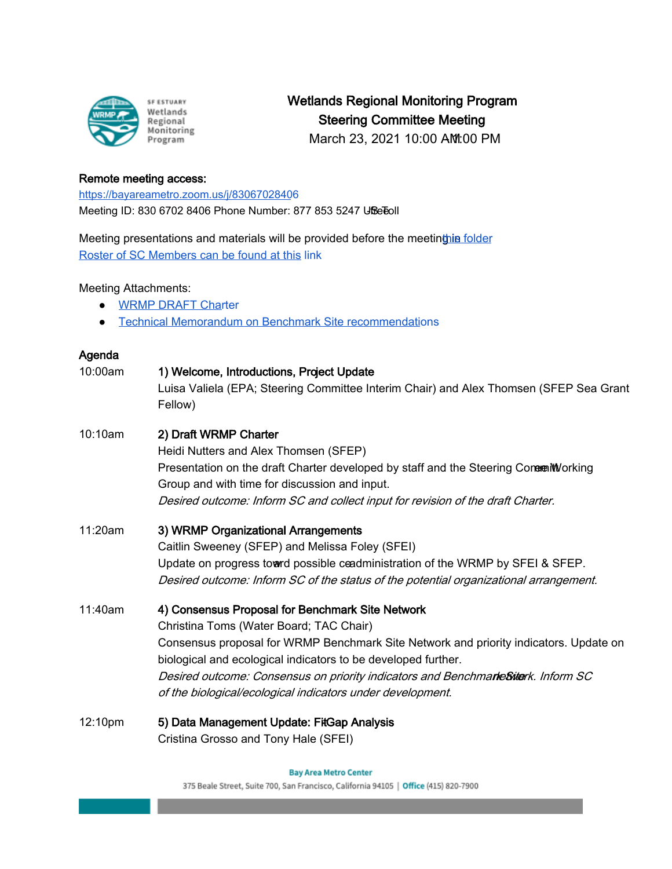

Wetlands Regional Monitoring Program Steering Committee Meeting

March 23, 2021 10:00 AM:00 PM

## Remote meeting access:

<https://bayareametro.zoom.us/j/83067028406> Meeting ID: 830 6702 8406 Phone Number: 877 853 5247 USe Toll

Meeting presentations and materials will be provided before the meeting in folder [Roster of SC Members can be found at this](https://docs.google.com/spreadsheets/d/1irwBf2FqK7Nqeww960DWi42-1E-OG4_bv6QH0k0WIGQ/edit?usp=sharing) link

## Meeting Attachments:

- **[WRMP DRAFT Char](https://drive.google.com/file/d/12PY14z1TXg2PJ4eq1Xa5foYimKpLvkct/view?usp=sharing)ter**
- [Technical Memorandum on Benchmark Site recommendatio](https://drive.google.com/file/d/1n3oJglvqsH7TcmlqoqC_H6ZmALemNgoP/view?usp=sharing)ns

| Agenda  |                                                                                                                                                                                                                                                                                                                                                                                                          |
|---------|----------------------------------------------------------------------------------------------------------------------------------------------------------------------------------------------------------------------------------------------------------------------------------------------------------------------------------------------------------------------------------------------------------|
| 10:00am | 1) Welcome, Introductions, Project Update<br>Luisa Valiela (EPA; Steering Committee Interim Chair) and Alex Thomsen (SFEP Sea Grant<br>Fellow)                                                                                                                                                                                                                                                           |
| 10:10am | 2) Draft WRMP Charter<br>Heidi Nutters and Alex Thomsen (SFEP)<br>Presentation on the draft Charter developed by staff and the Steering ConerenWorking<br>Group and with time for discussion and input.<br>Desired outcome: Inform SC and collect input for revision of the draft Charter.                                                                                                               |
| 11:20am | 3) WRMP Organizational Arrangements<br>Caitlin Sweeney (SFEP) and Melissa Foley (SFEI)<br>Update on progress townd possible ceadministration of the WRMP by SFEI & SFEP.<br>Desired outcome: Inform SC of the status of the potential organizational arrangement.                                                                                                                                        |
| 11:40am | 4) Consensus Proposal for Benchmark Site Network<br>Christina Toms (Water Board; TAC Chair)<br>Consensus proposal for WRMP Benchmark Site Network and priority indicators. Update on<br>biological and ecological indicators to be developed further.<br>Desired outcome: Consensus on priority indicators and BenchmarkeSiterk. Inform SC<br>of the biological/ecological indicators under development. |
| 12:10pm | 5) Data Management Update: FitGap Analysis<br>Cristina Grosso and Tony Hale (SFEI)                                                                                                                                                                                                                                                                                                                       |

**Bay Area Metro Center** 

375 Beale Street, Suite 700, San Francisco, California 94105 | Office (415) 820-7900